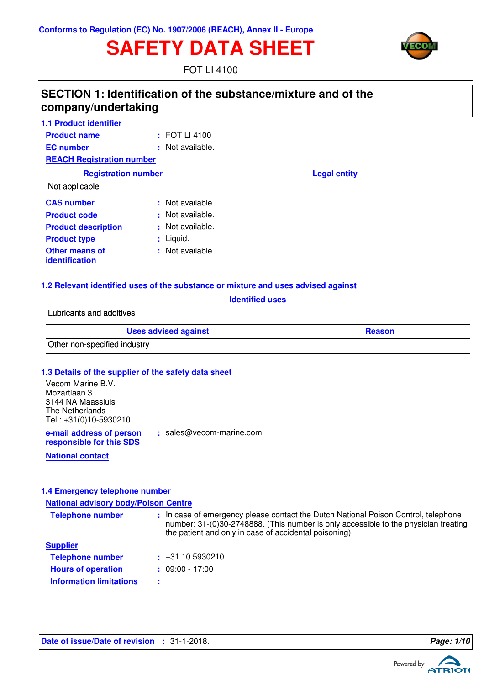# **SAFETY DATA SHEET**



FOT LI 4100

### **SECTION 1: Identification of the substance/mixture and of the company/undertaking**

| 1.1 Product identifier           |                   |                     |  |
|----------------------------------|-------------------|---------------------|--|
| <b>Product name</b>              | $\pm$ FOT LI 4100 |                     |  |
| <b>EC</b> number                 | : Not available.  |                     |  |
| <b>REACH Registration number</b> |                   |                     |  |
| <b>Registration number</b>       |                   | <b>Legal entity</b> |  |
| Not applicable                   |                   |                     |  |
| <b>CAS number</b>                | : Not available.  |                     |  |
| <b>Product code</b>              | : Not available.  |                     |  |
| <b>Product description</b>       | : Not available.  |                     |  |
| <b>Product type</b>              | : Liquid.         |                     |  |
| Other means of<br>identification | : Not available.  |                     |  |

#### **1.2 Relevant identified uses of the substance or mixture and uses advised against**

| <b>Identified uses</b>                       |  |  |  |
|----------------------------------------------|--|--|--|
| Lubricants and additives                     |  |  |  |
| <b>Uses advised against</b><br><b>Reason</b> |  |  |  |
| Other non-specified industry                 |  |  |  |

#### **1.3 Details of the supplier of the safety data sheet**

| Vecom Marine B.V.<br>Mozartlaan 3<br>3144 NA Maassluis<br>The Netherlands<br>Tel.: +31(0)10-5930210 |                          |
|-----------------------------------------------------------------------------------------------------|--------------------------|
| e-mail address of person<br>responsible for this SDS                                                | : sales@vecom-marine.com |

**National contact**

#### **1.4 Emergency telephone number**

**National advisory body/Poison Centre**

| <b>Telephone number</b>        | : In case of emergency please contact the Dutch National Poison Control, telephone<br>number: 31-(0)30-2748888. (This number is only accessible to the physician treating<br>the patient and only in case of accidental poisoning) |
|--------------------------------|------------------------------------------------------------------------------------------------------------------------------------------------------------------------------------------------------------------------------------|
| <b>Supplier</b>                |                                                                                                                                                                                                                                    |
| <b>Telephone number</b>        | $\div$ +31 10 5930210                                                                                                                                                                                                              |
| <b>Hours of operation</b>      | $: 09.00 - 17.00$                                                                                                                                                                                                                  |
| <b>Information limitations</b> | ÷                                                                                                                                                                                                                                  |

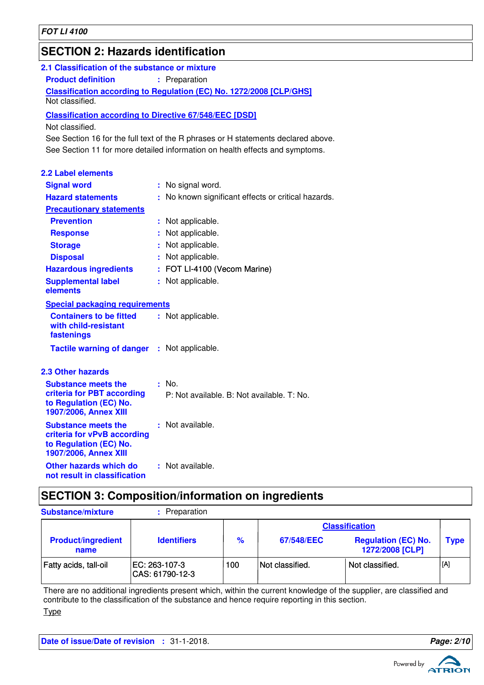### **SECTION 2: Hazards identification**

| 2.1 Classification of the substance or mixture                                                               |                                                                                   |
|--------------------------------------------------------------------------------------------------------------|-----------------------------------------------------------------------------------|
| <b>Product definition</b>                                                                                    | : Preparation                                                                     |
|                                                                                                              | <b>Classification according to Regulation (EC) No. 1272/2008 [CLP/GHS]</b>        |
| Not classified.                                                                                              |                                                                                   |
| <b>Classification according to Directive 67/548/EEC [DSD]</b>                                                |                                                                                   |
| Not classified.                                                                                              |                                                                                   |
|                                                                                                              | See Section 16 for the full text of the R phrases or H statements declared above. |
|                                                                                                              | See Section 11 for more detailed information on health effects and symptoms.      |
| <b>2.2 Label elements</b>                                                                                    |                                                                                   |
| <b>Signal word</b>                                                                                           | : No signal word.                                                                 |
| <b>Hazard statements</b>                                                                                     | : No known significant effects or critical hazards.                               |
| <b>Precautionary statements</b>                                                                              |                                                                                   |
| <b>Prevention</b>                                                                                            | : Not applicable.                                                                 |
| <b>Response</b>                                                                                              | : Not applicable.                                                                 |
| <b>Storage</b>                                                                                               | : Not applicable.                                                                 |
| <b>Disposal</b>                                                                                              | : Not applicable.                                                                 |
| <b>Hazardous ingredients</b>                                                                                 | : FOT LI-4100 (Vecom Marine)                                                      |
| <b>Supplemental label</b><br>elements                                                                        | : Not applicable.                                                                 |
| <b>Special packaging requirements</b>                                                                        |                                                                                   |
| <b>Containers to be fitted</b><br>with child-resistant<br>fastenings                                         | : Not applicable.                                                                 |
| <b>Tactile warning of danger : Not applicable.</b>                                                           |                                                                                   |
| <b>2.3 Other hazards</b>                                                                                     |                                                                                   |
| <b>Substance meets the</b>                                                                                   | $:$ No.                                                                           |
| criteria for PBT according<br>to Regulation (EC) No.                                                         | P: Not available, B: Not available, T: No.                                        |
| 1907/2006, Annex XIII                                                                                        |                                                                                   |
| <b>Substance meets the</b><br>criteria for vPvB according<br>to Regulation (EC) No.<br>1907/2006, Annex XIII | : Not available.                                                                  |
| Other hazards which do<br>not result in classification                                                       | : Not available.                                                                  |

### **SECTION 3: Composition/information on ingredients**

| <b>Substance/mixture</b>          | Preparation                       |               |                 |                                               |                  |
|-----------------------------------|-----------------------------------|---------------|-----------------|-----------------------------------------------|------------------|
|                                   |                                   |               |                 | <b>Classification</b>                         |                  |
| <b>Product/ingredient</b><br>name | <b>Identifiers</b>                | $\frac{9}{6}$ | 67/548/EEC      | <b>Regulation (EC) No.</b><br>1272/2008 [CLP] | Type             |
| Fatty acids, tall-oil             | EC: 263-107-3<br> CAS: 61790-12-3 | 100           | Not classified. | Not classified.                               | <sub>.</sub> [A] |

There are no additional ingredients present which, within the current knowledge of the supplier, are classified and contribute to the classification of the substance and hence require reporting in this section. Type

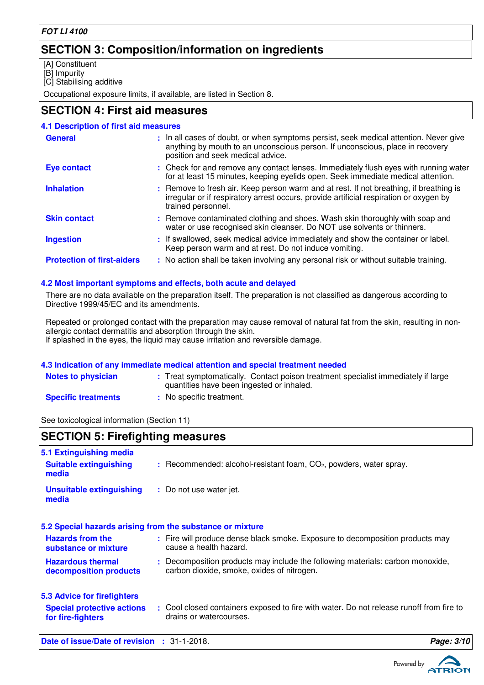### **SECTION 3: Composition/information on ingredients**

[A] Constituent

[B] Impurity

[C] Stabilising additive

Occupational exposure limits, if available, are listed in Section 8.

### **SECTION 4: First aid measures**

| <b>4.1 Description of first aid measures</b> |                                                                                                                                                                                                             |
|----------------------------------------------|-------------------------------------------------------------------------------------------------------------------------------------------------------------------------------------------------------------|
| <b>General</b>                               | : In all cases of doubt, or when symptoms persist, seek medical attention. Never give<br>anything by mouth to an unconscious person. If unconscious, place in recovery<br>position and seek medical advice. |
| <b>Eye contact</b>                           | : Check for and remove any contact lenses. Immediately flush eyes with running water<br>for at least 15 minutes, keeping eyelids open. Seek immediate medical attention.                                    |
| <b>Inhalation</b>                            | : Remove to fresh air. Keep person warm and at rest. If not breathing, if breathing is<br>irregular or if respiratory arrest occurs, provide artificial respiration or oxygen by<br>trained personnel.      |
| <b>Skin contact</b>                          | : Remove contaminated clothing and shoes. Wash skin thoroughly with soap and<br>water or use recognised skin cleanser. Do NOT use solvents or thinners.                                                     |
| <b>Ingestion</b>                             | : If swallowed, seek medical advice immediately and show the container or label.<br>Keep person warm and at rest. Do not induce vomiting.                                                                   |
| <b>Protection of first-aiders</b>            | : No action shall be taken involving any personal risk or without suitable training.                                                                                                                        |

#### **4.2 Most important symptoms and effects, both acute and delayed**

There are no data available on the preparation itself. The preparation is not classified as dangerous according to Directive 1999/45/EC and its amendments.

Repeated or prolonged contact with the preparation may cause removal of natural fat from the skin, resulting in nonallergic contact dermatitis and absorption through the skin. If splashed in the eyes, the liquid may cause irritation and reversible damage.

#### **4.3 Indication of any immediate medical attention and special treatment needed**

| <b>Notes to physician</b>  | : Treat symptomatically. Contact poison treatment specialist immediately if large<br>quantities have been ingested or inhaled. |
|----------------------------|--------------------------------------------------------------------------------------------------------------------------------|
| <b>Specific treatments</b> | : No specific treatment.                                                                                                       |

See toxicological information (Section 11)

### **SECTION 5: Firefighting measures**

| 5.1 Extinguishing media                                   |                                                                                                                              |
|-----------------------------------------------------------|------------------------------------------------------------------------------------------------------------------------------|
| <b>Suitable extinguishing</b><br>media                    | $:$ Recommended: alcohol-resistant foam, $CO2$ , powders, water spray.                                                       |
| <b>Unsuitable extinguishing</b><br>media                  | : Do not use water jet.                                                                                                      |
| 5.2 Special hazards arising from the substance or mixture |                                                                                                                              |
| <b>Hazards from the</b><br>substance or mixture           | : Fire will produce dense black smoke. Exposure to decomposition products may<br>cause a health hazard.                      |
| <b>Hazardous thermal</b><br>decomposition products        | : Decomposition products may include the following materials: carbon monoxide,<br>carbon dioxide, smoke, oxides of nitrogen. |
| <b>5.3 Advice for firefighters</b>                        |                                                                                                                              |
| <b>Special protective actions</b><br>for fire-fighters    | : Cool closed containers exposed to fire with water. Do not release runoff from fire to<br>drains or watercourses.           |
| Date of issue/Date of revision                            | Page: 3/10<br>$: 31 - 1 - 2018.$                                                                                             |

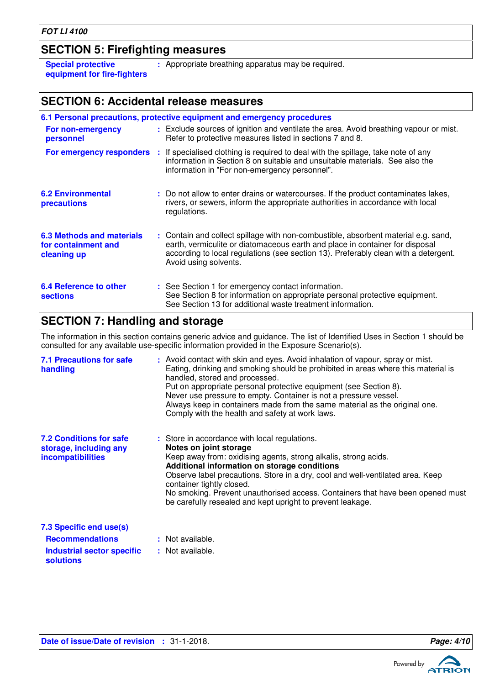### **SECTION 5: Firefighting measures**

**Special protective equipment for fire-fighters** **:** Appropriate breathing apparatus may be required.

### **SECTION 6: Accidental release measures**

|                                                                        | 6.1 Personal precautions, protective equipment and emergency procedures                                                                                                                                                                                                            |
|------------------------------------------------------------------------|------------------------------------------------------------------------------------------------------------------------------------------------------------------------------------------------------------------------------------------------------------------------------------|
| For non-emergency<br>personnel                                         | : Exclude sources of ignition and ventilate the area. Avoid breathing vapour or mist.<br>Refer to protective measures listed in sections 7 and 8.                                                                                                                                  |
|                                                                        | For emergency responders : If specialised clothing is required to deal with the spillage, take note of any<br>information in Section 8 on suitable and unsuitable materials. See also the<br>information in "For non-emergency personnel".                                         |
| <b>6.2 Environmental</b><br>precautions                                | : Do not allow to enter drains or watercourses. If the product contaminates lakes,<br>rivers, or sewers, inform the appropriate authorities in accordance with local<br>regulations.                                                                                               |
| <b>6.3 Methods and materials</b><br>for containment and<br>cleaning up | : Contain and collect spillage with non-combustible, absorbent material e.g. sand,<br>earth, vermiculite or diatomaceous earth and place in container for disposal<br>according to local regulations (see section 13). Preferably clean with a detergent.<br>Avoid using solvents. |
| <b>6.4 Reference to other</b><br><b>sections</b>                       | : See Section 1 for emergency contact information.<br>See Section 8 for information on appropriate personal protective equipment.<br>See Section 13 for additional waste treatment information.                                                                                    |

### **SECTION 7: Handling and storage**

The information in this section contains generic advice and guidance. The list of Identified Uses in Section 1 should be consulted for any available use-specific information provided in the Exposure Scenario(s).

| <b>7.1 Precautions for safe</b><br>handling                                          | : Avoid contact with skin and eyes. Avoid inhalation of vapour, spray or mist.<br>Eating, drinking and smoking should be prohibited in areas where this material is<br>handled, stored and processed.<br>Put on appropriate personal protective equipment (see Section 8).<br>Never use pressure to empty. Container is not a pressure vessel.<br>Always keep in containers made from the same material as the original one.<br>Comply with the health and safety at work laws. |
|--------------------------------------------------------------------------------------|---------------------------------------------------------------------------------------------------------------------------------------------------------------------------------------------------------------------------------------------------------------------------------------------------------------------------------------------------------------------------------------------------------------------------------------------------------------------------------|
| <b>7.2 Conditions for safe</b><br>storage, including any<br><b>incompatibilities</b> | : Store in accordance with local regulations.<br>Notes on joint storage<br>Keep away from: oxidising agents, strong alkalis, strong acids.<br>Additional information on storage conditions<br>Observe label precautions. Store in a dry, cool and well-ventilated area. Keep<br>container tightly closed.<br>No smoking. Prevent unauthorised access. Containers that have been opened must<br>be carefully resealed and kept upright to prevent leakage.                       |
| 7.3 Specific end use(s)                                                              |                                                                                                                                                                                                                                                                                                                                                                                                                                                                                 |
| <b>Recommendations</b>                                                               | : Not available.                                                                                                                                                                                                                                                                                                                                                                                                                                                                |

### **Industrial sector specific : solutions**

: Not available.

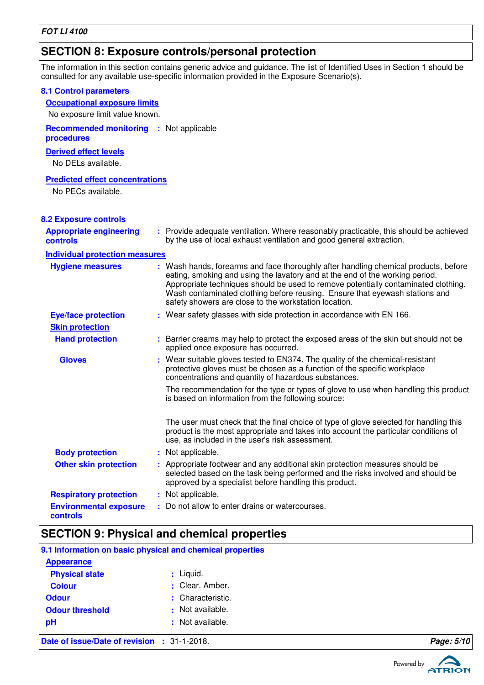### **SECTION 8: Exposure controls/personal protection**

The information in this section contains generic advice and guidance. The list of Identified Uses in Section 1 should be consulted for any available use-specific information provided in the Exposure Scenario(s).

| <b>8.1 Control parameters</b>               |                                                                                                                                                                                                                                                                                                                                                                                                   |
|---------------------------------------------|---------------------------------------------------------------------------------------------------------------------------------------------------------------------------------------------------------------------------------------------------------------------------------------------------------------------------------------------------------------------------------------------------|
| <b>Occupational exposure limits</b>         |                                                                                                                                                                                                                                                                                                                                                                                                   |
| No exposure limit value known.              |                                                                                                                                                                                                                                                                                                                                                                                                   |
| <b>Recommended monitoring</b><br>procedures | : Not applicable                                                                                                                                                                                                                                                                                                                                                                                  |
| <b>Derived effect levels</b>                |                                                                                                                                                                                                                                                                                                                                                                                                   |
| No DELs available.                          |                                                                                                                                                                                                                                                                                                                                                                                                   |
| <b>Predicted effect concentrations</b>      |                                                                                                                                                                                                                                                                                                                                                                                                   |
| No PECs available.                          |                                                                                                                                                                                                                                                                                                                                                                                                   |
|                                             |                                                                                                                                                                                                                                                                                                                                                                                                   |
| <b>8.2 Exposure controls</b>                |                                                                                                                                                                                                                                                                                                                                                                                                   |
| <b>Appropriate engineering</b><br>controls  | : Provide adequate ventilation. Where reasonably practicable, this should be achieved<br>by the use of local exhaust ventilation and good general extraction.                                                                                                                                                                                                                                     |
| <b>Individual protection measures</b>       |                                                                                                                                                                                                                                                                                                                                                                                                   |
| <b>Hygiene measures</b>                     | : Wash hands, forearms and face thoroughly after handling chemical products, before<br>eating, smoking and using the lavatory and at the end of the working period.<br>Appropriate techniques should be used to remove potentially contaminated clothing.<br>Wash contaminated clothing before reusing. Ensure that eyewash stations and<br>safety showers are close to the workstation location. |
| <b>Eye/face protection</b>                  | : Wear safety glasses with side protection in accordance with EN 166.                                                                                                                                                                                                                                                                                                                             |
| <b>Skin protection</b>                      |                                                                                                                                                                                                                                                                                                                                                                                                   |
| <b>Hand protection</b>                      | : Barrier creams may help to protect the exposed areas of the skin but should not be<br>applied once exposure has occurred.                                                                                                                                                                                                                                                                       |
| <b>Gloves</b>                               | : Wear suitable gloves tested to EN374. The quality of the chemical-resistant<br>protective gloves must be chosen as a function of the specific workplace<br>concentrations and quantity of hazardous substances.                                                                                                                                                                                 |
|                                             | The recommendation for the type or types of glove to use when handling this product<br>is based on information from the following source:                                                                                                                                                                                                                                                         |
|                                             | The user must check that the final choice of type of glove selected for handling this<br>product is the most appropriate and takes into account the particular conditions of<br>use, as included in the user's risk assessment.                                                                                                                                                                   |
| <b>Body protection</b>                      | : Not applicable.                                                                                                                                                                                                                                                                                                                                                                                 |
| <b>Other skin protection</b>                | : Appropriate footwear and any additional skin protection measures should be<br>selected based on the task being performed and the risks involved and should be<br>approved by a specialist before handling this product.                                                                                                                                                                         |
| <b>Respiratory protection</b>               | : Not applicable.                                                                                                                                                                                                                                                                                                                                                                                 |
| <b>Environmental exposure</b><br>controls   | : Do not allow to enter drains or watercourses.                                                                                                                                                                                                                                                                                                                                                   |

### **SECTION 9: Physical and chemical properties**

| 9.1 Information on basic physical and chemical properties |                   |            |
|-----------------------------------------------------------|-------------------|------------|
| <b>Appearance</b>                                         |                   |            |
| <b>Physical state</b>                                     | $:$ Liquid.       |            |
| <b>Colour</b>                                             | : Clear. Amber.   |            |
| <b>Odour</b>                                              | : Characteristic. |            |
| <b>Odour threshold</b>                                    | : Not available.  |            |
| pH                                                        | : Not available.  |            |
| Date of issue/Date of revision : 31-1-2018.               |                   | Page: 5/10 |

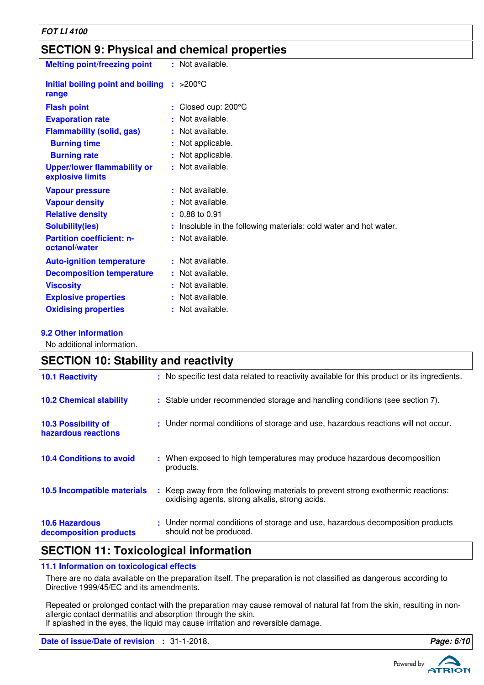| <b>FOT LI 4100</b>                                     |                                                                 |  |  |
|--------------------------------------------------------|-----------------------------------------------------------------|--|--|
| <b>SECTION 9: Physical and chemical properties</b>     |                                                                 |  |  |
| <b>Melting point/freezing point</b>                    | : Not available.                                                |  |  |
| Initial boiling point and boiling<br>range             | $: >200^{\circ}$ C                                              |  |  |
| <b>Flash point</b>                                     | Closed cup: 200°C                                               |  |  |
| <b>Evaporation rate</b>                                | Not available.                                                  |  |  |
| <b>Flammability (solid, gas)</b>                       | Not available.                                                  |  |  |
| <b>Burning time</b>                                    | Not applicable.                                                 |  |  |
| <b>Burning rate</b>                                    | Not applicable.                                                 |  |  |
| <b>Upper/lower flammability or</b><br>explosive limits | : Not available.                                                |  |  |
| <b>Vapour pressure</b>                                 | : Not available.                                                |  |  |
| <b>Vapour density</b>                                  | Not available.                                                  |  |  |
| <b>Relative density</b>                                | 0,88 to 0,91                                                    |  |  |
| <b>Solubility(ies)</b>                                 | Insoluble in the following materials: cold water and hot water. |  |  |
| <b>Partition coefficient: n-</b><br>octanol/water      | Not available.                                                  |  |  |
| <b>Auto-ignition temperature</b>                       | Not available.                                                  |  |  |
| <b>Decomposition temperature</b>                       | Not available.                                                  |  |  |
| <b>Viscosity</b>                                       | Not available.                                                  |  |  |
| <b>Explosive properties</b>                            | Not available.                                                  |  |  |
| <b>Oxidising properties</b>                            | : Not available.                                                |  |  |

#### **9.2 Other information**

No additional information.

| <b>SECTION 10: Stability and reactivity</b>       |                                                                                                                                         |  |
|---------------------------------------------------|-----------------------------------------------------------------------------------------------------------------------------------------|--|
| <b>10.1 Reactivity</b>                            | : No specific test data related to reactivity available for this product or its ingredients.                                            |  |
| <b>10.2 Chemical stability</b>                    | : Stable under recommended storage and handling conditions (see section 7).                                                             |  |
| <b>10.3 Possibility of</b><br>hazardous reactions | : Under normal conditions of storage and use, hazardous reactions will not occur.                                                       |  |
| <b>10.4 Conditions to avoid</b>                   | : When exposed to high temperatures may produce hazardous decomposition<br>products.                                                    |  |
| 10.5 Incompatible materials                       | Keep away from the following materials to prevent strong exothermic reactions:<br>÷.<br>oxidising agents, strong alkalis, strong acids. |  |
| <b>10.6 Hazardous</b><br>decomposition products   | : Under normal conditions of storage and use, hazardous decomposition products<br>should not be produced.                               |  |
|                                                   |                                                                                                                                         |  |

### **SECTION 11: Toxicological information**

#### **11.1 Information on toxicological effects**

There are no data available on the preparation itself. The preparation is not classified as dangerous according to Directive 1999/45/EC and its amendments.

Repeated or prolonged contact with the preparation may cause removal of natural fat from the skin, resulting in nonallergic contact dermatitis and absorption through the skin.

If splashed in the eyes, the liquid may cause irritation and reversible damage.

**Date of issue/Date of revision :** 31-1-2018. **Page: 6/10**

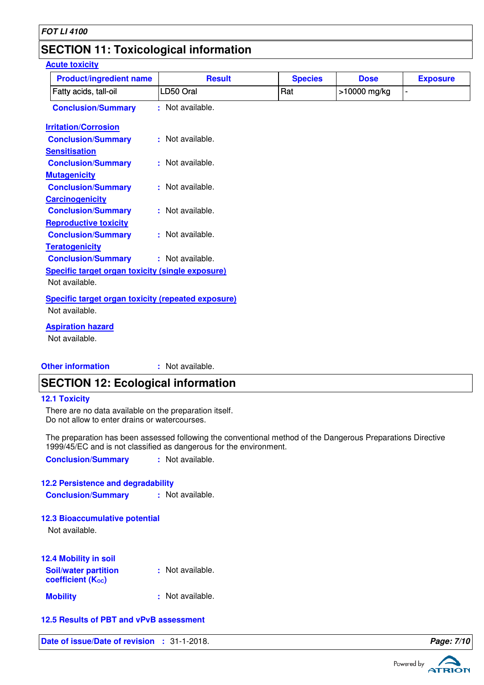### **SECTION 11: Toxicological information**

#### **Acute toxicity**

| <b>Product/ingredient name</b>                            | <b>Result</b>    | <b>Species</b> | <b>Dose</b>  | <b>Exposure</b> |
|-----------------------------------------------------------|------------------|----------------|--------------|-----------------|
| Fatty acids, tall-oil                                     | LD50 Oral        | Rat            | >10000 mg/kg |                 |
| <b>Conclusion/Summary</b>                                 | : Not available. |                |              |                 |
| <b>Irritation/Corrosion</b>                               |                  |                |              |                 |
| <b>Conclusion/Summary</b>                                 | : Not available. |                |              |                 |
| <b>Sensitisation</b>                                      |                  |                |              |                 |
| <b>Conclusion/Summary</b>                                 | : Not available. |                |              |                 |
| <b>Mutagenicity</b>                                       |                  |                |              |                 |
| <b>Conclusion/Summary</b>                                 | : Not available. |                |              |                 |
| <b>Carcinogenicity</b>                                    |                  |                |              |                 |
| <b>Conclusion/Summary</b>                                 | : Not available. |                |              |                 |
| <b>Reproductive toxicity</b>                              |                  |                |              |                 |
| <b>Conclusion/Summary</b>                                 | : Not available. |                |              |                 |
| <b>Teratogenicity</b>                                     |                  |                |              |                 |
| <b>Conclusion/Summary</b>                                 | : Not available. |                |              |                 |
| <b>Specific target organ toxicity (single exposure)</b>   |                  |                |              |                 |
| Not available.                                            |                  |                |              |                 |
| <b>Specific target organ toxicity (repeated exposure)</b> |                  |                |              |                 |
| Not available.                                            |                  |                |              |                 |
|                                                           |                  |                |              |                 |
| <b>Aspiration hazard</b>                                  |                  |                |              |                 |
| Not available.                                            |                  |                |              |                 |
|                                                           |                  |                |              |                 |
| <b>Other information</b>                                  | : Not available. |                |              |                 |

## **SECTION 12: Ecological information**

#### **12.1 Toxicity**

There are no data available on the preparation itself. Do not allow to enter drains or watercourses.

The preparation has been assessed following the conventional method of the Dangerous Preparations Directive 1999/45/EC and is not classified as dangerous for the environment.

**Conclusion/Summary :** Not available.

#### **12.2 Persistence and degradability**

**Conclusion/Summary :** Not available.

#### **12.3 Bioaccumulative potential**

Not available.

| 12.4 Mobility in soil                            |                  |
|--------------------------------------------------|------------------|
| <b>Soil/water partition</b><br>coefficient (Koc) | : Not available. |
| <b>Mobility</b>                                  | : Not available. |

#### **12.5 Results of PBT and vPvB assessment**

**Date of issue/Date of revision :** 31-1-2018. **Page: 7/10 Page: 7/10** 

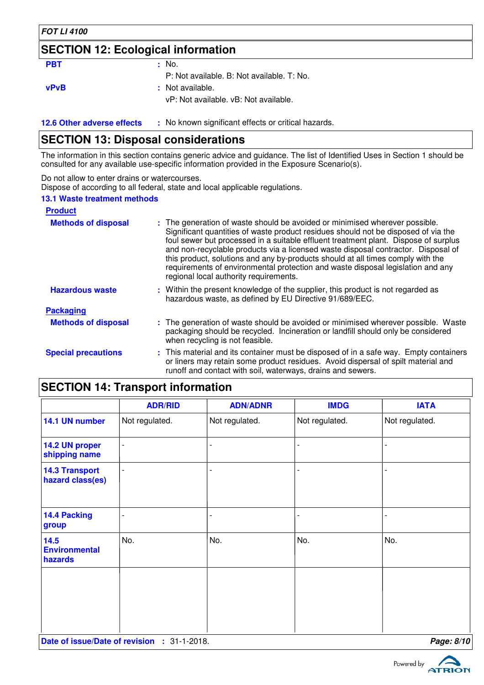#### **FOT LI 4100**

### **SECTION 12: Ecological information**

#### **PBT :** No.

P: Not available. B: Not available. T: No.

**vPvB :** Not available.

vP: Not available. vB: Not available.

**12.6 Other adverse effects** : No known significant effects or critical hazards.

### **SECTION 13: Disposal considerations**

The information in this section contains generic advice and guidance. The list of Identified Uses in Section 1 should be consulted for any available use-specific information provided in the Exposure Scenario(s).

Do not allow to enter drains or watercourses.

Dispose of according to all federal, state and local applicable regulations.

#### **13.1 Waste treatment methods**

| <b>Product</b>             |                                                                                                                                                                                                                                                                                                                                                                                                                                                                                                                                                               |
|----------------------------|---------------------------------------------------------------------------------------------------------------------------------------------------------------------------------------------------------------------------------------------------------------------------------------------------------------------------------------------------------------------------------------------------------------------------------------------------------------------------------------------------------------------------------------------------------------|
| <b>Methods of disposal</b> | : The generation of waste should be avoided or minimised wherever possible.<br>Significant quantities of waste product residues should not be disposed of via the<br>foul sewer but processed in a suitable effluent treatment plant. Dispose of surplus<br>and non-recyclable products via a licensed waste disposal contractor. Disposal of<br>this product, solutions and any by-products should at all times comply with the<br>requirements of environmental protection and waste disposal legislation and any<br>regional local authority requirements. |
| <b>Hazardous waste</b>     | : Within the present knowledge of the supplier, this product is not regarded as<br>hazardous waste, as defined by EU Directive 91/689/EEC.                                                                                                                                                                                                                                                                                                                                                                                                                    |
| <b>Packaging</b>           |                                                                                                                                                                                                                                                                                                                                                                                                                                                                                                                                                               |
| <b>Methods of disposal</b> | : The generation of waste should be avoided or minimised wherever possible. Waste<br>packaging should be recycled. Incineration or landfill should only be considered<br>when recycling is not feasible.                                                                                                                                                                                                                                                                                                                                                      |
| <b>Special precautions</b> | : This material and its container must be disposed of in a safe way. Empty containers<br>or liners may retain some product residues. Avoid dispersal of spilt material and<br>runoff and contact with soil, waterways, drains and sewers.                                                                                                                                                                                                                                                                                                                     |

### **SECTION 14: Transport information**

| <b>ADR/RID</b> | <b>ADN/ADNR</b> | <b>IMDG</b>    | <b>IATA</b>    |
|----------------|-----------------|----------------|----------------|
| Not regulated. | Not regulated.  | Not regulated. | Not regulated. |
| $\overline{a}$ |                 |                |                |
| $\overline{a}$ |                 |                |                |
| $\overline{a}$ |                 |                |                |
| No.            | No.             | No.            | No.            |
|                |                 |                |                |
|                |                 |                |                |
|                |                 |                |                |

**Date of issue/Date of revision :** 31-1-2018. **Page: 8/100 Page: 8/100 Page: 8/100 Page: 8/100 Page: 8/100 Page: 8/100 Page: 8/100 Page: 8/100 Page: 8/100 Page: 8/100 Page: 8/100 Page: 8/100 Page: 8** 

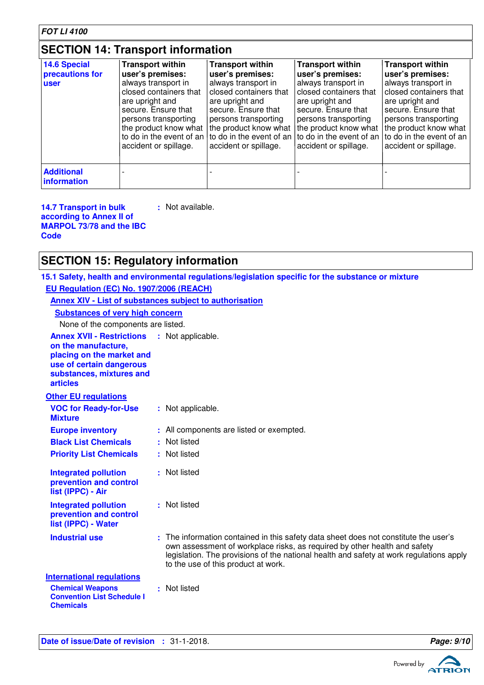### **SECTION 14: Transport information**

| 14.6 Special<br>precautions for<br><b>user</b> | <b>Transport within</b><br>user's premises:<br>always transport in<br>closed containers that<br>are upright and<br>secure. Ensure that<br>persons transporting<br>the product know what<br>accident or spillage. | <b>Transport within</b><br>user's premises:<br>always transport in<br>closed containers that<br>are upright and<br>secure. Ensure that<br>persons transporting<br>the product know what<br>to do in the event of an $\vert$ to do in the event of an<br>accident or spillage. | <b>Transport within</b><br>user's premises:<br>always transport in<br>closed containers that<br>are upright and<br>secure. Ensure that<br>persons transporting<br>the product know what<br>accident or spillage. | <b>Transport within</b><br>user's premises:<br>always transport in<br>closed containers that<br>are upright and<br>secure. Ensure that<br>persons transporting<br>the product know what<br>to do in the event of an   to do in the event of an<br>accident or spillage. |
|------------------------------------------------|------------------------------------------------------------------------------------------------------------------------------------------------------------------------------------------------------------------|-------------------------------------------------------------------------------------------------------------------------------------------------------------------------------------------------------------------------------------------------------------------------------|------------------------------------------------------------------------------------------------------------------------------------------------------------------------------------------------------------------|-------------------------------------------------------------------------------------------------------------------------------------------------------------------------------------------------------------------------------------------------------------------------|
| <b>Additional</b><br>information               |                                                                                                                                                                                                                  |                                                                                                                                                                                                                                                                               |                                                                                                                                                                                                                  |                                                                                                                                                                                                                                                                         |

**14.7 Transport in bulk according to Annex II of MARPOL 73/78 and the IBC Code :** Not available.

### **SECTION 15: Regulatory information**

**15.1 Safety, health and environmental regulations/legislation specific for the substance or mixture**

**EU Regulation (EC) No. 1907/2006 (REACH)**

|                                                                                                                                                                                   | <b>Annex XIV - List of substances subject to authorisation</b>                                                                                                                                                                                                                                      |
|-----------------------------------------------------------------------------------------------------------------------------------------------------------------------------------|-----------------------------------------------------------------------------------------------------------------------------------------------------------------------------------------------------------------------------------------------------------------------------------------------------|
| <b>Substances of very high concern</b>                                                                                                                                            |                                                                                                                                                                                                                                                                                                     |
| None of the components are listed.                                                                                                                                                |                                                                                                                                                                                                                                                                                                     |
| <b>Annex XVII - Restrictions : Not applicable.</b><br>on the manufacture,<br>placing on the market and<br>use of certain dangerous<br>substances, mixtures and<br><b>articles</b> |                                                                                                                                                                                                                                                                                                     |
| <b>Other EU regulations</b>                                                                                                                                                       |                                                                                                                                                                                                                                                                                                     |
| <b>VOC for Ready-for-Use</b><br><b>Mixture</b>                                                                                                                                    | : Not applicable.                                                                                                                                                                                                                                                                                   |
| <b>Europe inventory</b>                                                                                                                                                           | : All components are listed or exempted.                                                                                                                                                                                                                                                            |
| <b>Black List Chemicals</b>                                                                                                                                                       | : Not listed                                                                                                                                                                                                                                                                                        |
| <b>Priority List Chemicals</b>                                                                                                                                                    | : Not listed                                                                                                                                                                                                                                                                                        |
| <b>Integrated pollution</b><br>prevention and control<br>list (IPPC) - Air                                                                                                        | : Not listed                                                                                                                                                                                                                                                                                        |
| <b>Integrated pollution</b><br>prevention and control<br>list (IPPC) - Water                                                                                                      | : Not listed                                                                                                                                                                                                                                                                                        |
| <b>Industrial use</b>                                                                                                                                                             | : The information contained in this safety data sheet does not constitute the user's<br>own assessment of workplace risks, as required by other health and safety<br>legislation. The provisions of the national health and safety at work regulations apply<br>to the use of this product at work. |
| <b>International regulations</b><br><b>Chemical Weapons</b><br><b>Convention List Schedule I</b><br><b>Chemicals</b>                                                              | : Not listed                                                                                                                                                                                                                                                                                        |